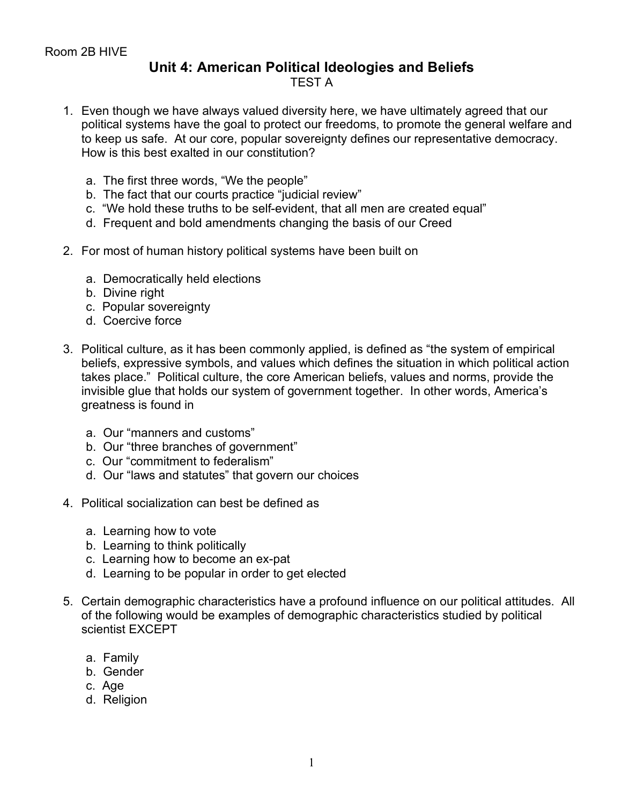## **Unit 4: American Political Ideologies and Beliefs** TEST A

- 1. Even though we have always valued diversity here, we have ultimately agreed that our political systems have the goal to protect our freedoms, to promote the general welfare and to keep us safe. At our core, popular sovereignty defines our representative democracy. How is this best exalted in our constitution?
	- a. The first three words, "We the people"
	- b. The fact that our courts practice "judicial review"
	- c. "We hold these truths to be self-evident, that all men are created equal"
	- d. Frequent and bold amendments changing the basis of our Creed
- 2. For most of human history political systems have been built on
	- a. Democratically held elections
	- b. Divine right
	- c. Popular sovereignty
	- d. Coercive force
- 3. Political culture, as it has been commonly applied, is defined as "the system of empirical beliefs, expressive symbols, and values which defines the situation in which political action takes place." Political culture, the core American beliefs, values and norms, provide the invisible glue that holds our system of government together. In other words, America's greatness is found in
	- a. Our "manners and customs"
	- b. Our "three branches of government"
	- c. Our "commitment to federalism"
	- d. Our "laws and statutes" that govern our choices
- 4. Political socialization can best be defined as
	- a. Learning how to vote
	- b. Learning to think politically
	- c. Learning how to become an ex-pat
	- d. Learning to be popular in order to get elected
- 5. Certain demographic characteristics have a profound influence on our political attitudes. All of the following would be examples of demographic characteristics studied by political scientist EXCEPT
	- a. Family
	- b. Gender
	- c. Age
	- d. Religion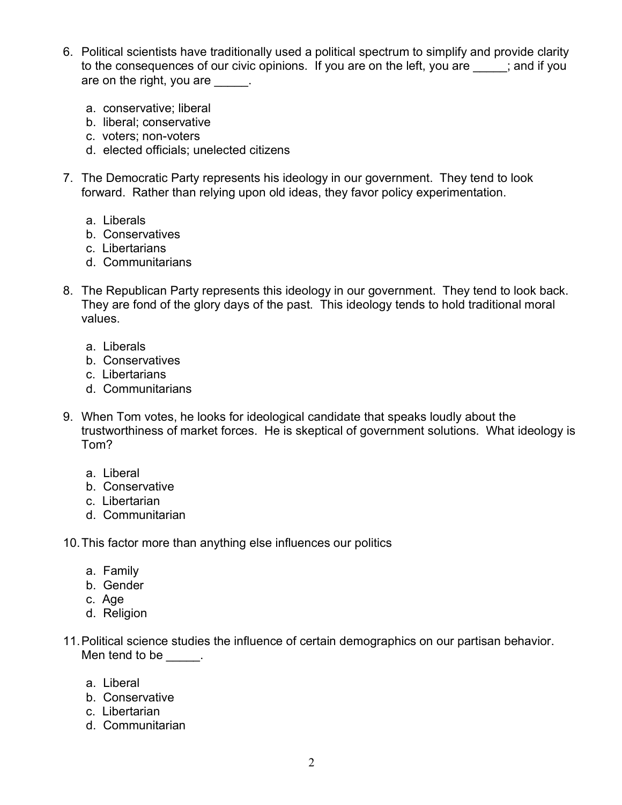- 6. Political scientists have traditionally used a political spectrum to simplify and provide clarity to the consequences of our civic opinions. If you are on the left, you are  $\qquad$ ; and if you are on the right, you are \_\_\_\_\_.
	- a. conservative; liberal
	- b. liberal; conservative
	- c. voters; non-voters
	- d. elected officials; unelected citizens
- 7. The Democratic Party represents his ideology in our government. They tend to look forward. Rather than relying upon old ideas, they favor policy experimentation.
	- a. Liberals
	- b. Conservatives
	- c. Libertarians
	- d. Communitarians
- 8. The Republican Party represents this ideology in our government. They tend to look back. They are fond of the glory days of the past. This ideology tends to hold traditional moral values.
	- a. Liberals
	- b. Conservatives
	- c. Libertarians
	- d. Communitarians
- 9. When Tom votes, he looks for ideological candidate that speaks loudly about the trustworthiness of market forces. He is skeptical of government solutions. What ideology is Tom?
	- a. Liberal
	- b. Conservative
	- c. Libertarian
	- d. Communitarian
- 10.This factor more than anything else influences our politics
	- a. Family
	- b. Gender
	- c. Age
	- d. Religion
- 11.Political science studies the influence of certain demographics on our partisan behavior. Men tend to be  $\qquad \qquad$ .
	- a. Liberal
	- b. Conservative
	- c. Libertarian
	- d. Communitarian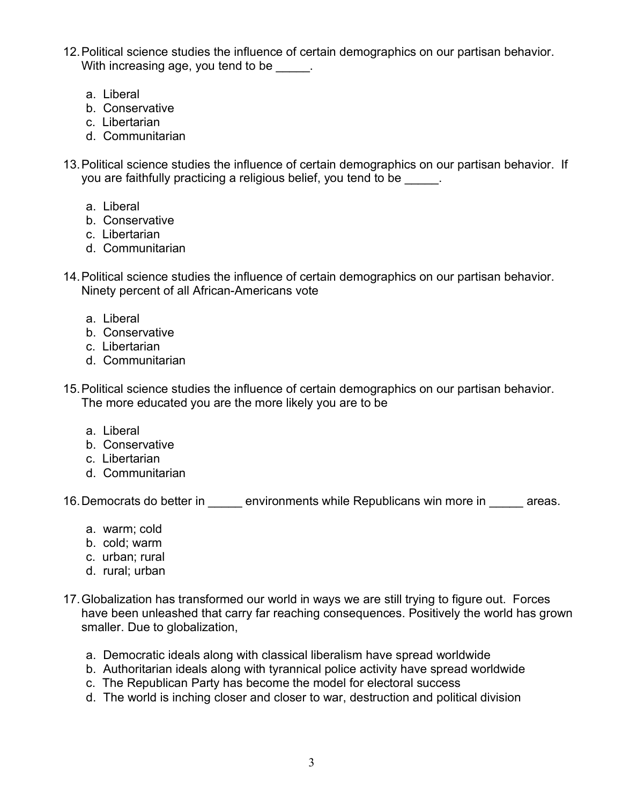- 12.Political science studies the influence of certain demographics on our partisan behavior. With increasing age, you tend to be  $\qquad \qquad$ .
	- a. Liberal
	- b. Conservative
	- c. Libertarian
	- d. Communitarian
- 13.Political science studies the influence of certain demographics on our partisan behavior. If you are faithfully practicing a religious belief, you tend to be
	- a. Liberal
	- b. Conservative
	- c. Libertarian
	- d. Communitarian
- 14.Political science studies the influence of certain demographics on our partisan behavior. Ninety percent of all African-Americans vote
	- a. Liberal
	- b. Conservative
	- c. Libertarian
	- d. Communitarian
- 15.Political science studies the influence of certain demographics on our partisan behavior. The more educated you are the more likely you are to be
	- a. Liberal
	- b. Conservative
	- c. Libertarian
	- d. Communitarian

16. Democrats do better in \_\_\_\_\_ environments while Republicans win more in \_\_\_\_\_ areas.

- a. warm; cold
- b. cold; warm
- c. urban; rural
- d. rural; urban
- 17.Globalization has transformed our world in ways we are still trying to figure out. Forces have been unleashed that carry far reaching consequences. Positively the world has grown smaller. Due to globalization,
	- a. Democratic ideals along with classical liberalism have spread worldwide
	- b. Authoritarian ideals along with tyrannical police activity have spread worldwide
	- c. The Republican Party has become the model for electoral success
	- d. The world is inching closer and closer to war, destruction and political division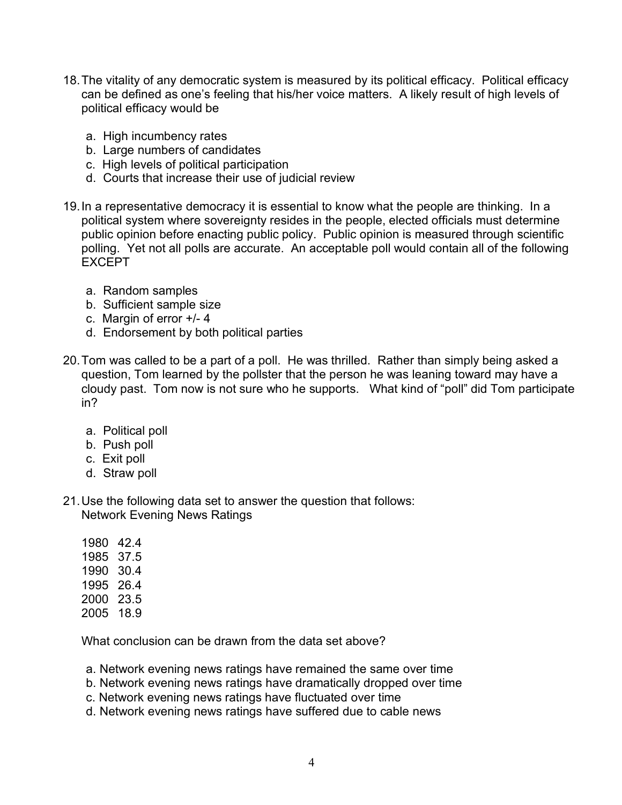- 18.The vitality of any democratic system is measured by its political efficacy. Political efficacy can be defined as one's feeling that his/her voice matters. A likely result of high levels of political efficacy would be
	- a. High incumbency rates
	- b. Large numbers of candidates
	- c. High levels of political participation
	- d. Courts that increase their use of judicial review
- 19.In a representative democracy it is essential to know what the people are thinking. In a political system where sovereignty resides in the people, elected officials must determine public opinion before enacting public policy. Public opinion is measured through scientific polling. Yet not all polls are accurate. An acceptable poll would contain all of the following EXCEPT
	- a. Random samples
	- b. Sufficient sample size
	- c. Margin of error +/- 4
	- d. Endorsement by both political parties
- 20.Tom was called to be a part of a poll. He was thrilled. Rather than simply being asked a question, Tom learned by the pollster that the person he was leaning toward may have a cloudy past. Tom now is not sure who he supports. What kind of "poll" did Tom participate in?
	- a. Political poll
	- b. Push poll
	- c. Exit poll
	- d. Straw poll
- 21.Use the following data set to answer the question that follows: Network Evening News Ratings
	- 1980 42.4 1985 37.5 1990 30.4 1995 26.4 2000 23.5 2005 18.9

What conclusion can be drawn from the data set above?

- a. Network evening news ratings have remained the same over time
- b. Network evening news ratings have dramatically dropped over time
- c. Network evening news ratings have fluctuated over time
- d. Network evening news ratings have suffered due to cable news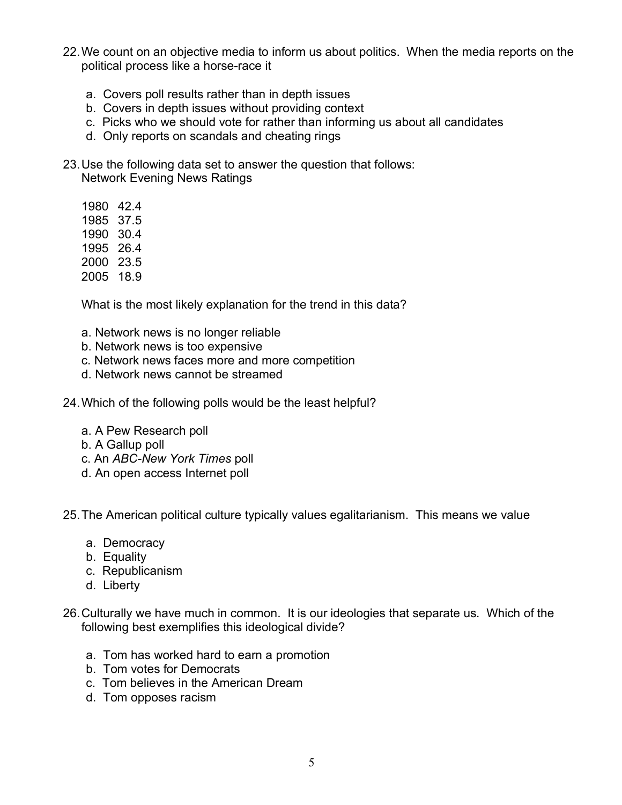- 22.We count on an objective media to inform us about politics. When the media reports on the political process like a horse-race it
	- a. Covers poll results rather than in depth issues
	- b. Covers in depth issues without providing context
	- c. Picks who we should vote for rather than informing us about all candidates
	- d. Only reports on scandals and cheating rings
- 23.Use the following data set to answer the question that follows: Network Evening News Ratings
	- 1980 42.4
	- 1985 37.5
	- 1990 30.4
	- 1995 26.4
	- 2000 23.5
	- 2005 18.9

What is the most likely explanation for the trend in this data?

- a. Network news is no longer reliable
- b. Network news is too expensive
- c. Network news faces more and more competition
- d. Network news cannot be streamed
- 24.Which of the following polls would be the least helpful?
	- a. A Pew Research poll
	- b. A Gallup poll
	- c. An *ABC-New York Times* poll
	- d. An open access Internet poll

25.The American political culture typically values egalitarianism. This means we value

- a. Democracy
- b. Equality
- c. Republicanism
- d. Liberty
- 26.Culturally we have much in common. It is our ideologies that separate us. Which of the following best exemplifies this ideological divide?
	- a. Tom has worked hard to earn a promotion
	- b. Tom votes for Democrats
	- c. Tom believes in the American Dream
	- d. Tom opposes racism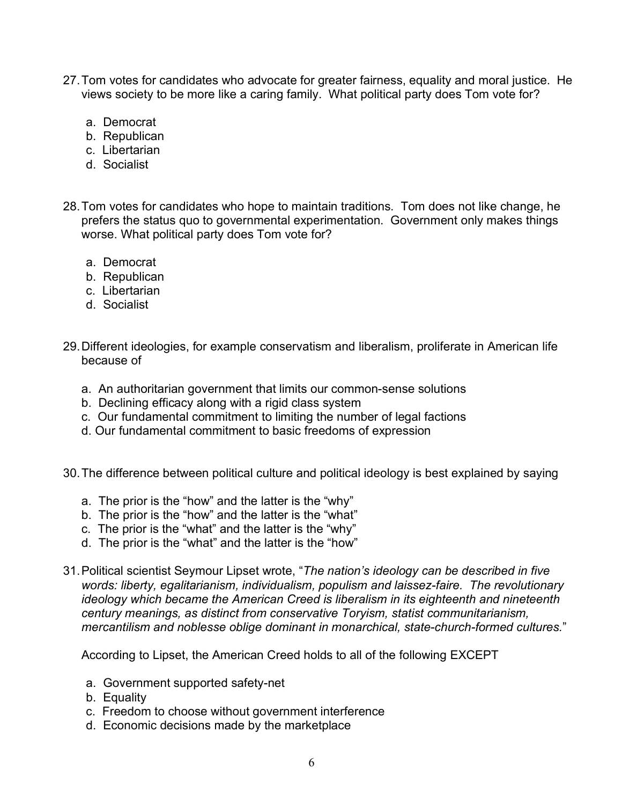- 27.Tom votes for candidates who advocate for greater fairness, equality and moral justice. He views society to be more like a caring family. What political party does Tom vote for?
	- a. Democrat
	- b. Republican
	- c. Libertarian
	- d. Socialist
- 28.Tom votes for candidates who hope to maintain traditions. Tom does not like change, he prefers the status quo to governmental experimentation. Government only makes things worse. What political party does Tom vote for?
	- a. Democrat
	- b. Republican
	- c. Libertarian
	- d. Socialist
- 29.Different ideologies, for example conservatism and liberalism, proliferate in American life because of
	- a. An authoritarian government that limits our common-sense solutions
	- b. Declining efficacy along with a rigid class system
	- c. Our fundamental commitment to limiting the number of legal factions
	- d. Our fundamental commitment to basic freedoms of expression
- 30.The difference between political culture and political ideology is best explained by saying
	- a. The prior is the "how" and the latter is the "why"
	- b. The prior is the "how" and the latter is the "what"
	- c. The prior is the "what" and the latter is the "why"
	- d. The prior is the "what" and the latter is the "how"
- 31.Political scientist Seymour Lipset wrote, "*The nation's ideology can be described in five words: liberty, egalitarianism, individualism, populism and laissez-faire. The revolutionary ideology which became the American Creed is liberalism in its eighteenth and nineteenth century meanings, as distinct from conservative Toryism, statist communitarianism, mercantilism and noblesse oblige dominant in monarchical, state-church-formed cultures.*"

According to Lipset, the American Creed holds to all of the following EXCEPT

- a. Government supported safety-net
- b. Equality
- c. Freedom to choose without government interference
- d. Economic decisions made by the marketplace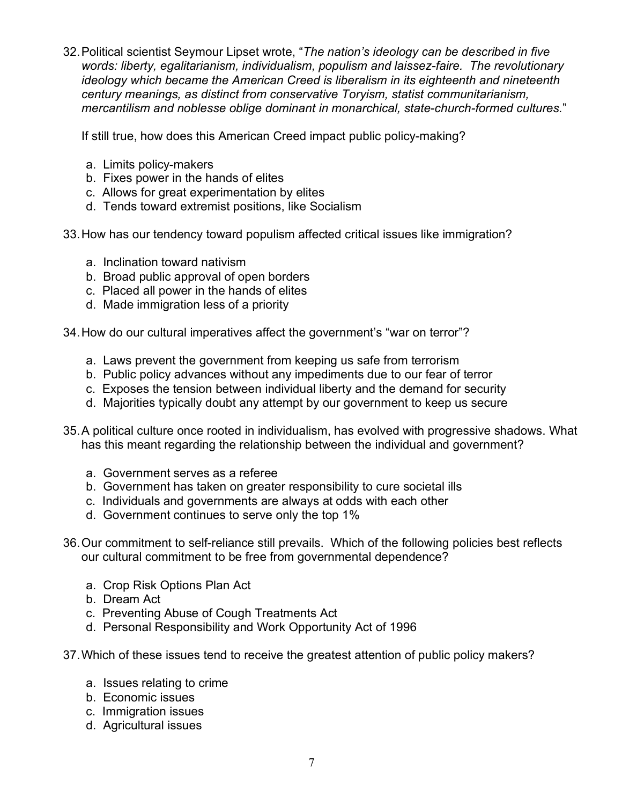32.Political scientist Seymour Lipset wrote, "*The nation's ideology can be described in five words: liberty, egalitarianism, individualism, populism and laissez-faire. The revolutionary ideology which became the American Creed is liberalism in its eighteenth and nineteenth century meanings, as distinct from conservative Toryism, statist communitarianism, mercantilism and noblesse oblige dominant in monarchical, state-church-formed cultures.*"

If still true, how does this American Creed impact public policy-making?

- a. Limits policy-makers
- b. Fixes power in the hands of elites
- c. Allows for great experimentation by elites
- d. Tends toward extremist positions, like Socialism

33.How has our tendency toward populism affected critical issues like immigration?

- a. Inclination toward nativism
- b. Broad public approval of open borders
- c. Placed all power in the hands of elites
- d. Made immigration less of a priority

34.How do our cultural imperatives affect the government's "war on terror"?

- a. Laws prevent the government from keeping us safe from terrorism
- b. Public policy advances without any impediments due to our fear of terror
- c. Exposes the tension between individual liberty and the demand for security
- d. Majorities typically doubt any attempt by our government to keep us secure
- 35.A political culture once rooted in individualism, has evolved with progressive shadows. What has this meant regarding the relationship between the individual and government?
	- a. Government serves as a referee
	- b. Government has taken on greater responsibility to cure societal ills
	- c. Individuals and governments are always at odds with each other
	- d. Government continues to serve only the top 1%
- 36.Our commitment to self-reliance still prevails. Which of the following policies best reflects our cultural commitment to be free from governmental dependence?
	- a. Crop Risk Options Plan Act
	- b. Dream Act
	- c. Preventing Abuse of Cough Treatments Act
	- d. Personal Responsibility and Work Opportunity Act of 1996
- 37.Which of these issues tend to receive the greatest attention of public policy makers?
	- a. Issues relating to crime
	- b. Economic issues
	- c. Immigration issues
	- d. Agricultural issues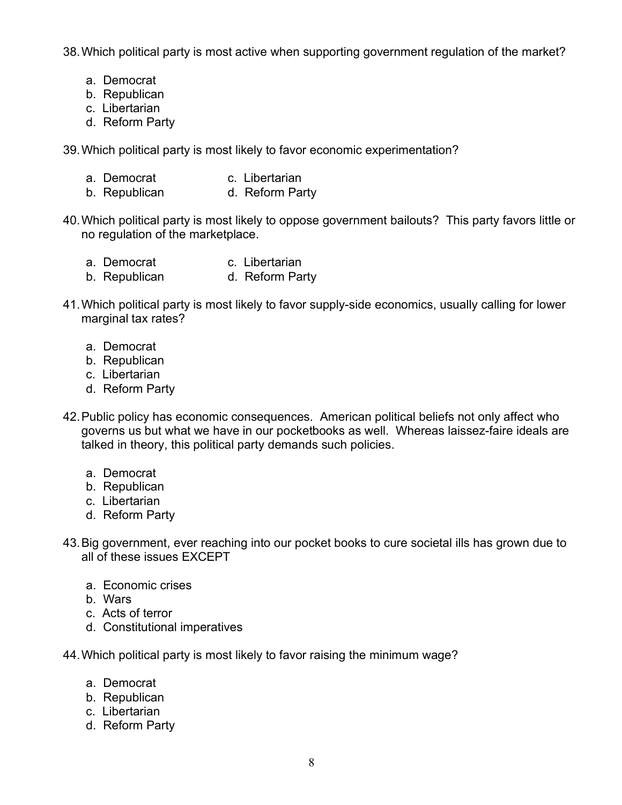38.Which political party is most active when supporting government regulation of the market?

- a. Democrat
- b. Republican
- c. Libertarian
- d. Reform Party

39.Which political party is most likely to favor economic experimentation?

- a. Democrat c. Libertarian
- b. Republican d. Reform Party
- 40.Which political party is most likely to oppose government bailouts? This party favors little or no regulation of the marketplace.
	- a. Democrat c. Libertarian
	- b. Republican d. Reform Party
- 41.Which political party is most likely to favor supply-side economics, usually calling for lower marginal tax rates?
	- a. Democrat
	- b. Republican
	- c. Libertarian
	- d. Reform Party
- 42.Public policy has economic consequences. American political beliefs not only affect who governs us but what we have in our pocketbooks as well. Whereas laissez-faire ideals are talked in theory, this political party demands such policies.
	- a. Democrat
	- b. Republican
	- c. Libertarian
	- d. Reform Party
- 43.Big government, ever reaching into our pocket books to cure societal ills has grown due to all of these issues EXCEPT
	- a. Economic crises
	- b. Wars
	- c. Acts of terror
	- d. Constitutional imperatives
- 44.Which political party is most likely to favor raising the minimum wage?
	- a. Democrat
	- b. Republican
	- c. Libertarian
	- d. Reform Party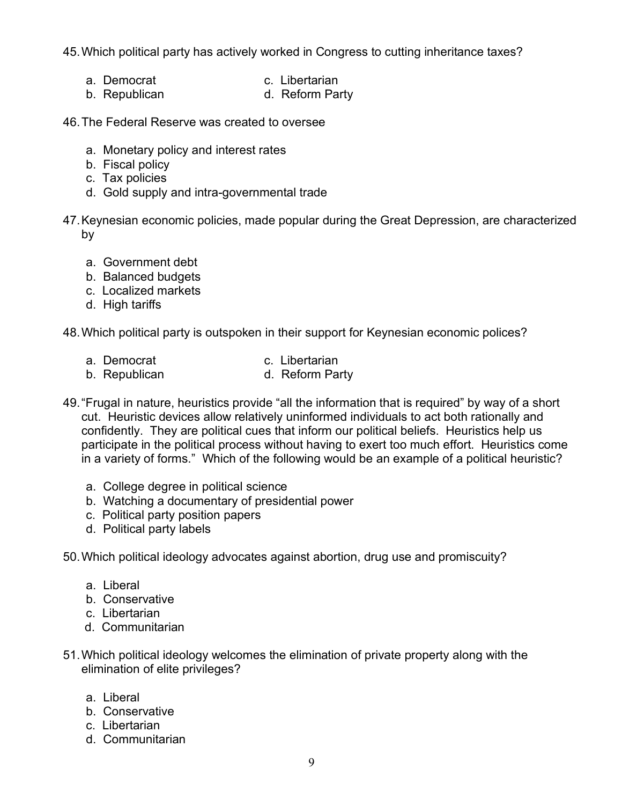45.Which political party has actively worked in Congress to cutting inheritance taxes?

- a. Democrat c. Libertarian
	-
- b. Republican d. Reform Party
- 46.The Federal Reserve was created to oversee
	- a. Monetary policy and interest rates
	- b. Fiscal policy
	- c. Tax policies
	- d. Gold supply and intra-governmental trade
- 47.Keynesian economic policies, made popular during the Great Depression, are characterized by
	- a. Government debt
	- b. Balanced budgets
	- c. Localized markets
	- d. High tariffs

48.Which political party is outspoken in their support for Keynesian economic polices?

- a. Democrat c. Libertarian
- b. Republican d. Reform Party
- 49."Frugal in nature, heuristics provide "all the information that is required" by way of a short cut. Heuristic devices allow relatively uninformed individuals to act both rationally and confidently. They are political cues that inform our political beliefs. Heuristics help us participate in the political process without having to exert too much effort. Heuristics come in a variety of forms." Which of the following would be an example of a political heuristic?
	- a. College degree in political science
	- b. Watching a documentary of presidential power
	- c. Political party position papers
	- d. Political party labels

50.Which political ideology advocates against abortion, drug use and promiscuity?

- a. Liberal
- b. Conservative
- c. Libertarian
- d. Communitarian
- 51.Which political ideology welcomes the elimination of private property along with the elimination of elite privileges?
	- a. Liberal
	- b. Conservative
	- c. Libertarian
	- d. Communitarian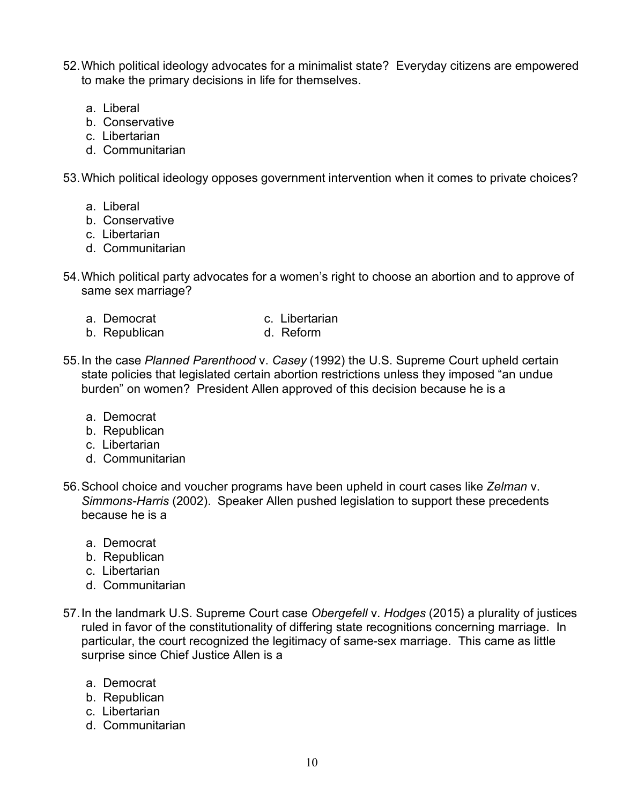- 52.Which political ideology advocates for a minimalist state? Everyday citizens are empowered to make the primary decisions in life for themselves.
	- a. Liberal
	- b. Conservative
	- c. Libertarian
	- d. Communitarian

53.Which political ideology opposes government intervention when it comes to private choices?

- a. Liberal
- b. Conservative
- c. Libertarian
- d. Communitarian
- 54.Which political party advocates for a women's right to choose an abortion and to approve of same sex marriage?
	- a. Democrat c. Libertarian
		-
	- b. Republican d. Reform
- 55.In the case *Planned Parenthood* v. *Casey* (1992) the U.S. Supreme Court upheld certain state policies that legislated certain abortion restrictions unless they imposed "an undue burden" on women? President Allen approved of this decision because he is a
	- a. Democrat
	- b. Republican
	- c. Libertarian
	- d. Communitarian
- 56.School choice and voucher programs have been upheld in court cases like *Zelman* v. *Simmons-Harris* (2002). Speaker Allen pushed legislation to support these precedents because he is a
	- a. Democrat
	- b. Republican
	- c. Libertarian
	- d. Communitarian
- 57.In the landmark U.S. Supreme Court case *Obergefell* v. *Hodges* (2015) a plurality of justices ruled in favor of the constitutionality of differing state recognitions concerning marriage. In particular, the court recognized the legitimacy of same-sex marriage. This came as little surprise since Chief Justice Allen is a
	- a. Democrat
	- b. Republican
	- c. Libertarian
	- d. Communitarian